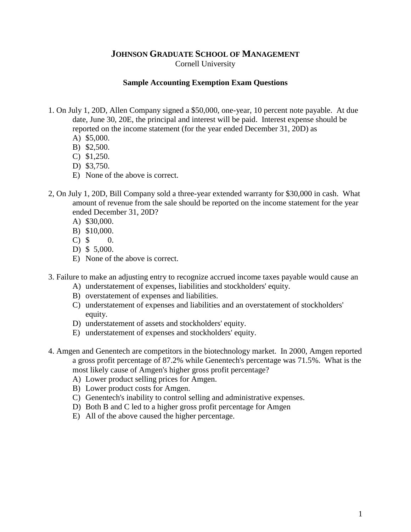## **JOHNSON GRADUATE SCHOOL OF MANAGEMENT** Cornell University

## **Sample Accounting Exemption Exam Questions**

- 1. On July 1, 20D, Allen Company signed a \$50,000, one-year, 10 percent note payable. At due date, June 30, 20E, the principal and interest will be paid. Interest expense should be reported on the income statement (for the year ended December 31, 20D) as
	- A) \$5,000.
	- B) \$2,500.
	- C) \$1,250.
	- D) \$3,750.
	- E) None of the above is correct.
- 2, On July 1, 20D, Bill Company sold a three-year extended warranty for \$30,000 in cash. What amount of revenue from the sale should be reported on the income statement for the year ended December 31, 20D?
	- A) \$30,000.
	- B) \$10,000.
	- $C)$  \$ 0.
	- D) \$ 5,000.
	- E) None of the above is correct.
- 3. Failure to make an adjusting entry to recognize accrued income taxes payable would cause an
	- A) understatement of expenses, liabilities and stockholders' equity.
	- B) overstatement of expenses and liabilities.
	- C) understatement of expenses and liabilities and an overstatement of stockholders' equity.
	- D) understatement of assets and stockholders' equity.
	- E) understatement of expenses and stockholders' equity.
- 4. Amgen and Genentech are competitors in the biotechnology market. In 2000, Amgen reported a gross profit percentage of 87.2% while Genentech's percentage was 71.5%. What is the most likely cause of Amgen's higher gross profit percentage?
	- A) Lower product selling prices for Amgen.
	- B) Lower product costs for Amgen.
	- C) Genentech's inability to control selling and administrative expenses.
	- D) Both B and C led to a higher gross profit percentage for Amgen
	- E) All of the above caused the higher percentage.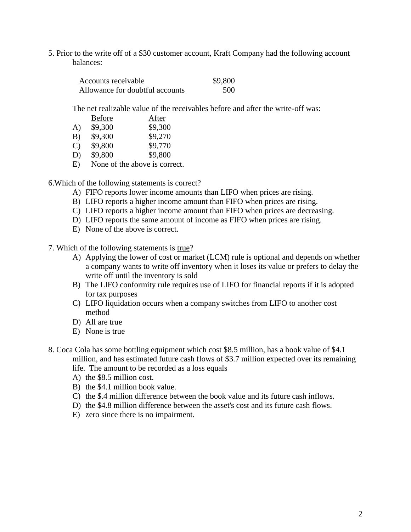5. Prior to the write off of a \$30 customer account, Kraft Company had the following account balances:

| Accounts receivable             | \$9,800 |
|---------------------------------|---------|
| Allowance for doubtful accounts | 500     |

The net realizable value of the receivables before and after the write-off was:

|              | <b>Before</b> | After                         |
|--------------|---------------|-------------------------------|
| A)           | \$9,300       | \$9,300                       |
| B)           | \$9,300       | \$9,270                       |
| $\mathbf{C}$ | \$9,800       | \$9,770                       |
| D)           | \$9,800       | \$9,800                       |
| E)           |               | None of the above is correct. |

6.Which of the following statements is correct?

- A) FIFO reports lower income amounts than LIFO when prices are rising.
- B) LIFO reports a higher income amount than FIFO when prices are rising.
- C) LIFO reports a higher income amount than FIFO when prices are decreasing.
- D) LIFO reports the same amount of income as FIFO when prices are rising.
- E) None of the above is correct.

7. Which of the following statements is true?

- A) Applying the lower of cost or market (LCM) rule is optional and depends on whether a company wants to write off inventory when it loses its value or prefers to delay the write off until the inventory is sold
- B) The LIFO conformity rule requires use of LIFO for financial reports if it is adopted for tax purposes
- C) LIFO liquidation occurs when a company switches from LIFO to another cost method
- D) All are true
- E) None is true
- 8. Coca Cola has some bottling equipment which cost \$8.5 million, has a book value of \$4.1 million, and has estimated future cash flows of \$3.7 million expected over its remaining life. The amount to be recorded as a loss equals
	- A) the \$8.5 million cost.
	- B) the \$4.1 million book value.
	- C) the \$.4 million difference between the book value and its future cash inflows.
	- D) the \$4.8 million difference between the asset's cost and its future cash flows.
	- E) zero since there is no impairment.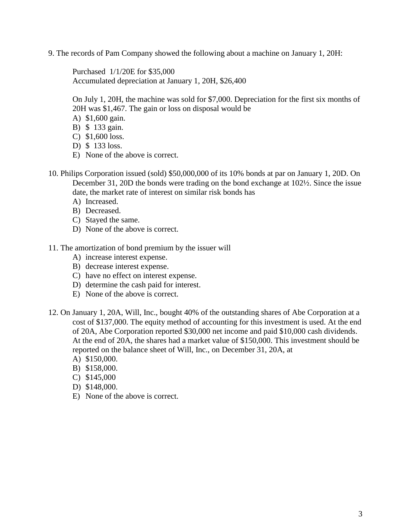9. The records of Pam Company showed the following about a machine on January 1, 20H:

Purchased 1/1/20E for \$35,000 Accumulated depreciation at January 1, 20H, \$26,400

On July 1, 20H, the machine was sold for \$7,000. Depreciation for the first six months of 20H was \$1,467. The gain or loss on disposal would be

- A) \$1,600 gain.
- B) \$ 133 gain.
- C) \$1,600 loss.
- D) \$ 133 loss.
- E) None of the above is correct.
- 10. Philips Corporation issued (sold) \$50,000,000 of its 10% bonds at par on January 1, 20D. On December 31, 20D the bonds were trading on the bond exchange at 102½. Since the issue date, the market rate of interest on similar risk bonds has
	- A) Increased.
	- B) Decreased.
	- C) Stayed the same.
	- D) None of the above is correct.
- 11. The amortization of bond premium by the issuer will
	- A) increase interest expense.
	- B) decrease interest expense.
	- C) have no effect on interest expense.
	- D) determine the cash paid for interest.
	- E) None of the above is correct.
- 12. On January 1, 20A, Will, Inc., bought 40% of the outstanding shares of Abe Corporation at a cost of \$137,000. The equity method of accounting for this investment is used. At the end of 20A, Abe Corporation reported \$30,000 net income and paid \$10,000 cash dividends. At the end of 20A, the shares had a market value of \$150,000. This investment should be reported on the balance sheet of Will, Inc., on December 31, 20A, at
	- A) \$150,000.
	- B) \$158,000.
	- C) \$145,000
	- D) \$148,000.
	- E) None of the above is correct.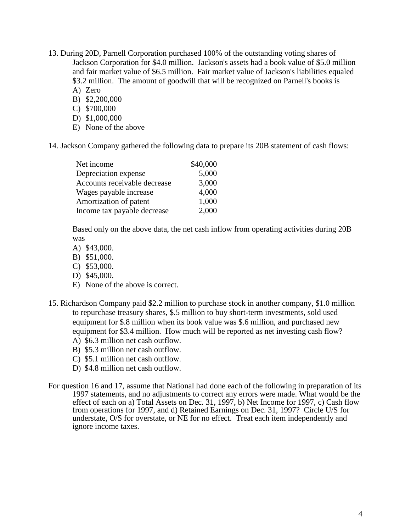- 13. During 20D, Parnell Corporation purchased 100% of the outstanding voting shares of Jackson Corporation for \$4.0 million. Jackson's assets had a book value of \$5.0 million and fair market value of \$6.5 million. Fair market value of Jackson's liabilities equaled \$3.2 million. The amount of goodwill that will be recognized on Parnell's books is
	- A) Zero
	- B) \$2,200,000
	- C) \$700,000 D) \$1,000,000
	- E) None of the above

14. Jackson Company gathered the following data to prepare its 20B statement of cash flows:

| Net income                   | \$40,000 |
|------------------------------|----------|
| Depreciation expense         | 5,000    |
| Accounts receivable decrease | 3,000    |
| Wages payable increase       | 4,000    |
| Amortization of patent       | 1,000    |
| Income tax payable decrease  | 2,000    |

Based only on the above data, the net cash inflow from operating activities during 20B was

- A) \$43,000.
- B) \$51,000.
- C) \$53,000.
- D) \$45,000.
- E) None of the above is correct.
- 15. Richardson Company paid \$2.2 million to purchase stock in another company, \$1.0 million to repurchase treasury shares, \$.5 million to buy short-term investments, sold used equipment for \$.8 million when its book value was \$.6 million, and purchased new equipment for \$3.4 million. How much will be reported as net investing cash flow? A) \$6.3 million net cash outflow.
	- B) \$5.3 million net cash outflow.
	- C) \$5.1 million net cash outflow.
	- D) \$4.8 million net cash outflow.
- For question 16 and 17, assume that National had done each of the following in preparation of its 1997 statements, and no adjustments to correct any errors were made. What would be the effect of each on a) Total Assets on Dec. 31, 1997, b) Net Income for 1997, c) Cash flow from operations for 1997, and d) Retained Earnings on Dec. 31, 1997? Circle U/S for understate, O/S for overstate, or NE for no effect. Treat each item independently and ignore income taxes.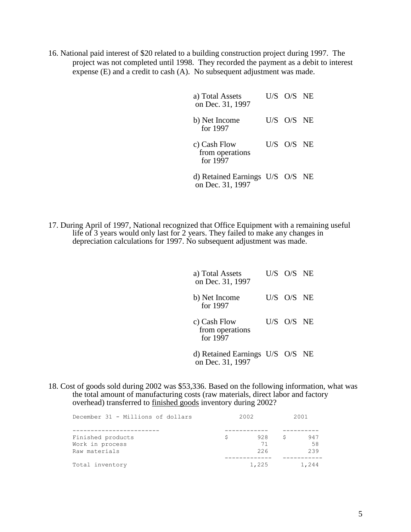16. National paid interest of \$20 related to a building construction project during 1997. The project was not completed until 1998. They recorded the payment as a debit to interest expense (E) and a credit to cash (A). No subsequent adjustment was made.

| a) Total Assets<br>on Dec. 31, 1997                 | U/S O/S NE |  |
|-----------------------------------------------------|------------|--|
| b) Net Income<br>for 1997                           | U/S O/S NE |  |
| c) Cash Flow<br>from operations<br>for 1997         | U/S O/S NE |  |
| d) Retained Earnings U/S O/S NE<br>on Dec. 31, 1997 |            |  |

17. During April of 1997, National recognized that Office Equipment with a remaining useful life of 3 years would only last for 2 years. They failed to make any changes in depreciation calculations for 1997. No subsequent adjustment was made.

| a) Total Assets<br>on Dec. 31, 1997                 | US OS NE   |  |
|-----------------------------------------------------|------------|--|
| b) Net Income<br>for 1997                           | U/S O/S NE |  |
| c) Cash Flow<br>from operations<br>for 1997         | U/S O/S NE |  |
| d) Retained Earnings U/S O/S NE<br>on Dec. 31, 1997 |            |  |

18. Cost of goods sold during 2002 was \$53,336. Based on the following information, what was the total amount of manufacturing costs (raw materials, direct labor and factory overhead) transferred to finished goods inventory during 2002?

| December 31 - Millions of dollars |    | 2002  |     | 2001  |
|-----------------------------------|----|-------|-----|-------|
|                                   |    |       |     |       |
| Finished products                 | S. | 928   | - S | 947   |
| Work in process                   |    | 71    |     | -58   |
| Raw materials                     |    | 226   |     | 239   |
| Total inventory                   |    | 1,225 |     | 1,244 |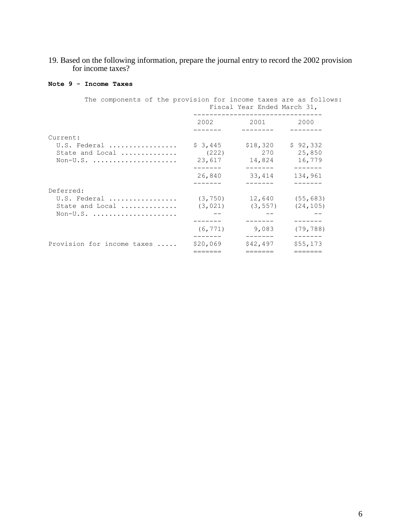19. Based on the following information, prepare the journal entry to record the 2002 provision for income taxes?

## **Note 9 - Income Taxes**

| The components of the provision for income taxes are as follows: |          | Fiscal Year Ended March 31,       |                    |
|------------------------------------------------------------------|----------|-----------------------------------|--------------------|
|                                                                  | 2002     | 2001 2002                         | 2000               |
| Current:                                                         |          |                                   |                    |
| U.S. Federal                                                     | \$3,445  | \$18,320                          | \$92,332           |
| State and Local                                                  |          | $(222)$ 270                       | 25,850             |
| $Non-U.S.$                                                       |          | 23,617 14,824<br>--------         | 16,779<br>-------- |
|                                                                  | 26,840   | 33,414                            | 134,961            |
| Deferred:                                                        |          |                                   |                    |
| U.S. Federal                                                     |          | $(3, 750)$ 12,640 (55,683)        |                    |
| State and Local                                                  |          | $(3, 021)$ $(3, 557)$ $(24, 105)$ |                    |
| $Non-U.S.$                                                       |          |                                   |                    |
|                                                                  | (6, 771) | 9,083                             | (79, 788)          |
| Provision for income taxes                                       | \$20,069 | \$42,497                          | \$55,173           |
|                                                                  | =======  | =======                           | =======            |